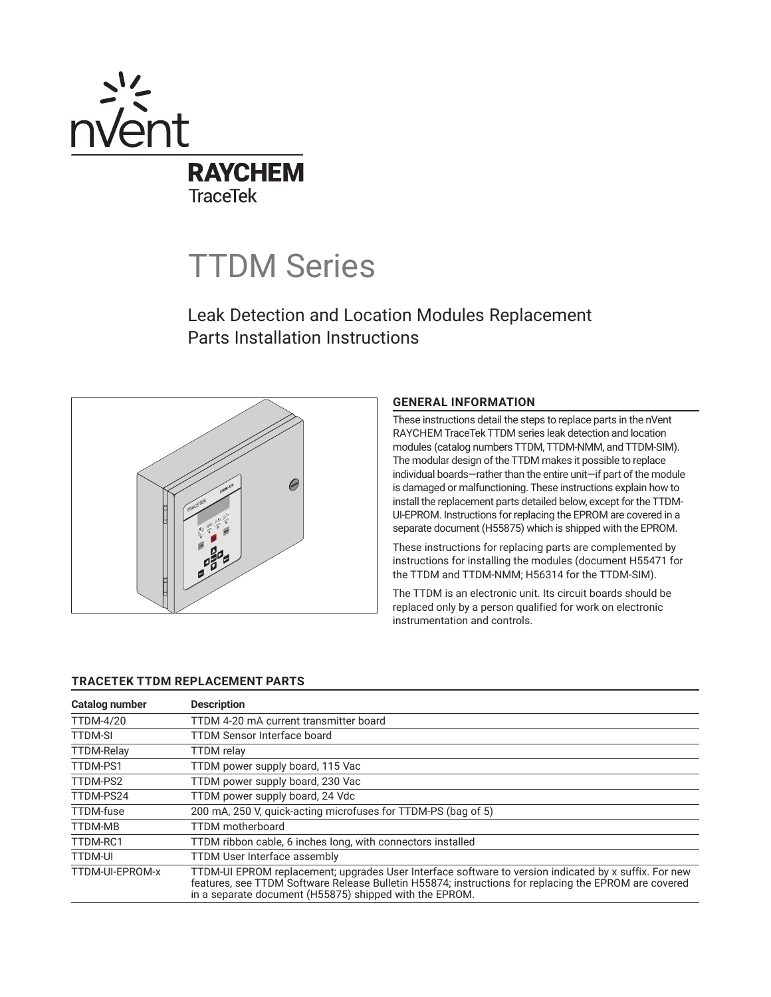

# TTDM Series

Leak Detection and Location Modules Replacement Parts Installation Instructions



# **GENERAL INFORMATION**

These instructions detail the steps to replace parts in the nVent RAYCHEM TraceTek TTDM series leak detection and location modules (catalog numbers TTDM, TTDM-NMM, and TTDM-SIM). The modular design of the TTDM makes it possible to replace individual boards—rather than the entire unit—if part of the module is damaged or malfunctioning. These instructions explain how to install the replacement parts detailed below, except for the TTDM-UI-EPROM. Instructions for replacing the EPROM are covered in a separate document (H55875) which is shipped with the EPROM.

These instructions for replacing parts are complemented by instructions for installing the modules (document H55471 for the TTDM and TTDM-NMM; H56314 for the TTDM-SIM).

The TTDM is an electronic unit. Its circuit boards should be replaced only by a person qualified for work on electronic instrumentation and controls.

# **TRACETEK TTDM REPLACEMENT PARTS**

| Catalog number    | <b>Description</b>                                                                                                                                                                                                                                                        |
|-------------------|---------------------------------------------------------------------------------------------------------------------------------------------------------------------------------------------------------------------------------------------------------------------------|
| <b>TTDM-4/20</b>  | TTDM 4-20 mA current transmitter board                                                                                                                                                                                                                                    |
| <b>TTDM-SI</b>    | TTDM Sensor Interface board                                                                                                                                                                                                                                               |
| <b>TTDM-Relay</b> | TTDM relay                                                                                                                                                                                                                                                                |
| TTDM-PS1          | TTDM power supply board, 115 Vac                                                                                                                                                                                                                                          |
| TTDM-PS2          | TTDM power supply board, 230 Vac                                                                                                                                                                                                                                          |
| TTDM-PS24         | TTDM power supply board, 24 Vdc                                                                                                                                                                                                                                           |
| TTDM-fuse         | 200 mA, 250 V, quick-acting microfuses for TTDM-PS (bag of 5)                                                                                                                                                                                                             |
| <b>TTDM-MB</b>    | <b>TTDM</b> motherboard                                                                                                                                                                                                                                                   |
| TTDM-RC1          | TTDM ribbon cable, 6 inches long, with connectors installed                                                                                                                                                                                                               |
| <b>TTDM-UI</b>    | TTDM User Interface assembly                                                                                                                                                                                                                                              |
| TTDM-UI-EPROM-x   | TTDM-UI EPROM replacement; upgrades User Interface software to version indicated by x suffix. For new<br>features, see TTDM Software Release Bulletin H55874; instructions for replacing the EPROM are covered<br>in a separate document (H55875) shipped with the EPROM. |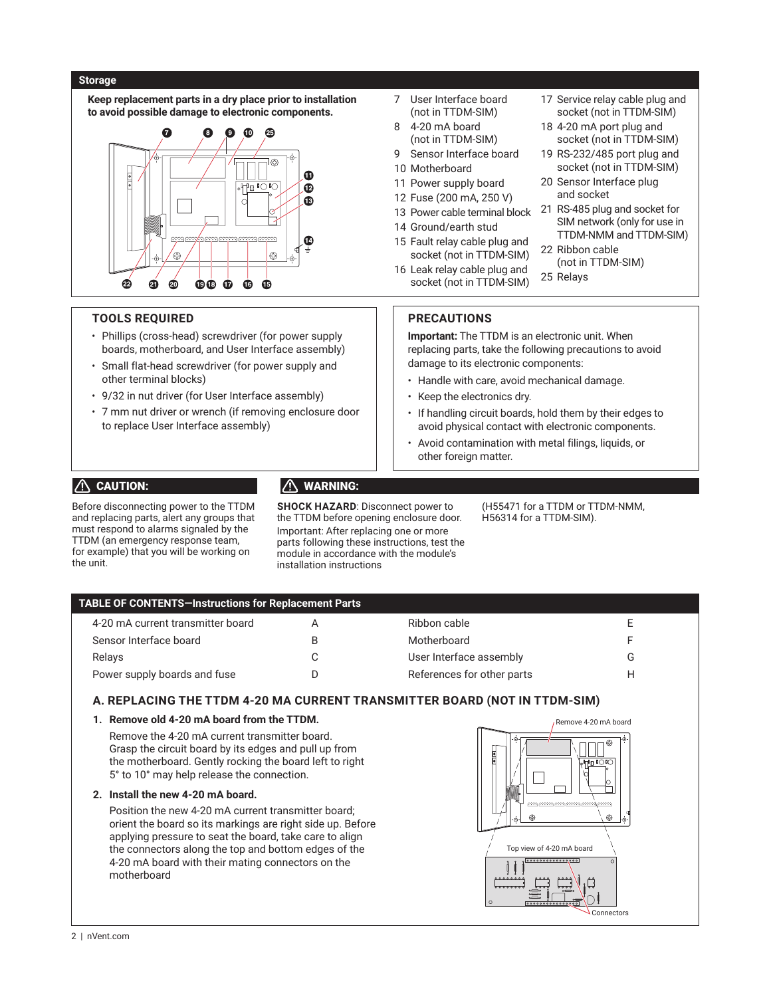#### **Storage**

**Keep replacement parts in a dry place prior to installation to avoid possible damage to electronic components.**



# **TOOLS REQUIRED**

- Phillips (cross-head) screwdriver (for power supply boards, motherboard, and User Interface assembly)
- Small flat-head screwdriver (for power supply and other terminal blocks)
- 9/32 in nut driver (for User Interface assembly)
- 7 mm nut driver or wrench (if removing enclosure door to replace User Interface assembly)
- 7 User Interface board (not in TTDM-SIM)
- 8 4-20 mA board (not in TTDM-SIM)
- 9 Sensor Interface board
- 10 Motherboard
- 11 Power supply board
- 12 Fuse (200 mA, 250 V)
- 13 Power cable terminal block
- 14 Ground/earth stud
- 15 Fault relay cable plug and socket (not in TTDM-SIM)
- 16 Leak relay cable plug and socket (not in TTDM-SIM)
- 17 Service relay cable plug and socket (not in TTDM-SIM)
- 18 4-20 mA port plug and socket (not in TTDM-SIM)
- 19 RS-232/485 port plug and socket (not in TTDM-SIM)
- 20 Sensor Interface plug and socket
- 21 RS-485 plug and socket for SIM network (only for use in TTDM-NMM and TTDM-SIM)
- 22 Ribbon cable (not in TTDM-SIM)
- 25 Relays

# **PRECAUTIONS**

**Important:** The TTDM is an electronic unit. When replacing parts, take the following precautions to avoid damage to its electronic components:

- Handle with care, avoid mechanical damage.
- Keep the electronics dry.
- If handling circuit boards, hold them by their edges to avoid physical contact with electronic components.
- Avoid contamination with metal filings, liquids, or other foreign matter.

# A CAUTION: WARNING:

Before disconnecting power to the TTDM and replacing parts, alert any groups that must respond to alarms signaled by the TTDM (an emergency response team, for example) that you will be working on the unit.

**SHOCK HAZARD**: Disconnect power to the TTDM before opening enclosure door. Important: After replacing one or more parts following these instructions, test the module in accordance with the module's installation instructions

(H55471 for a TTDM or TTDM-NMM, H56314 for a TTDM-SIM).

#### **TABLE OF CONTENTS—Instructions for Replacement Parts**

| 4-20 mA current transmitter board | Ribbon cable               |   |
|-----------------------------------|----------------------------|---|
| Sensor Interface board            | Motherboard                |   |
| Relays                            | User Interface assembly    | G |
| Power supply boards and fuse      | References for other parts |   |

# **A. REPLACING THE TTDM 4-20 MA CURRENT TRANSMITTER BOARD (NOT IN TTDM-SIM)**

#### **1. Remove old 4-20 mA board from the TTDM.**

Remove the 4-20 mA current transmitter board. Grasp the circuit board by its edges and pull up from the motherboard. Gently rocking the board left to right 5° to 10° may help release the connection.

#### **2. Install the new 4-20 mA board.**

Position the new 4-20 mA current transmitter board; orient the board so its markings are right side up. Before applying pressure to seat the board, take care to align the connectors along the top and bottom edges of the 4-20 mA board with their mating connectors on the motherboard

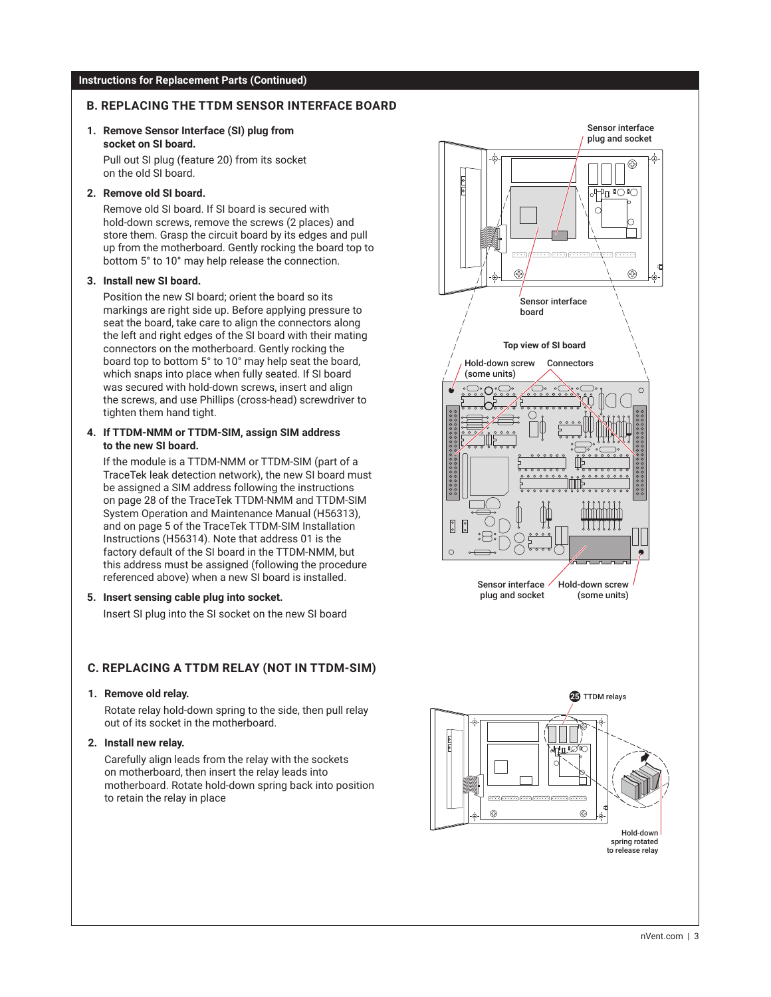# **B. REPLACING THE TTDM SENSOR INTERFACE BOARD**

### **1. Remove Sensor Interface (SI) plug from socket on SI board.**

Pull out SI plug (feature 20) from its socket on the old SI board.

### **2. Remove old SI board.**

Remove old SI board. If SI board is secured with hold-down screws, remove the screws (2 places) and store them. Grasp the circuit board by its edges and pull up from the motherboard. Gently rocking the board top to bottom 5° to 10° may help release the connection.

#### **3. Install new SI board.**

Position the new SI board; orient the board so its markings are right side up. Before applying pressure to seat the board, take care to align the connectors along the left and right edges of the SI board with their mating connectors on the motherboard. Gently rocking the board top to bottom 5° to 10° may help seat the board, which snaps into place when fully seated. If SI board was secured with hold-down screws, insert and align the screws, and use Phillips (cross-head) screwdriver to tighten them hand tight.

#### **4. If TTDM-NMM or TTDM-SIM, assign SIM address to the new SI board.**

If the module is a TTDM-NMM or TTDM-SIM (part of a TraceTek leak detection network), the new SI board must be assigned a SIM address following the instructions on page 28 of the TraceTek TTDM-NMM and TTDM-SIM System Operation and Maintenance Manual (H56313), and on page 5 of the TraceTek TTDM-SIM Installation Instructions (H56314). Note that address 01 is the factory default of the SI board in the TTDM-NMM, but this address must be assigned (following the procedure referenced above) when a new SI board is installed.

#### **5. Insert sensing cable plug into socket.**

Insert SI plug into the SI socket on the new SI board

# **C. REPLACING A TTDM RELAY (NOT IN TTDM-SIM)**

#### **1. Remove old relay.**

Rotate relay hold-down spring to the side, then pull relay out of its socket in the motherboard.

#### **2. Install new relay.**

Carefully align leads from the relay with the sockets on motherboard, then insert the relay leads into motherboard. Rotate hold-down spring back into position to retain the relay in place

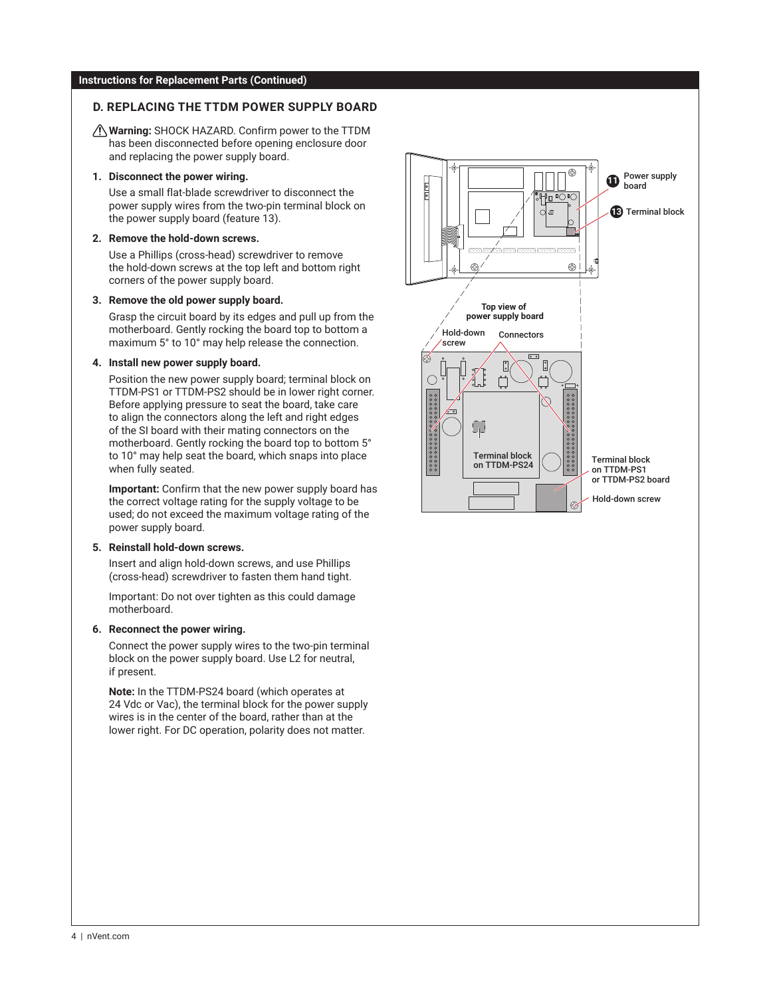# **D. REPLACING THE TTDM POWER SUPPLY BOARD**

**Warning:** SHOCK HAZARD. Confirm power to the TTDM has been disconnected before opening enclosure door and replacing the power supply board.

#### **1. Disconnect the power wiring.**

Use a small flat-blade screwdriver to disconnect the power supply wires from the two-pin terminal block on the power supply board (feature 13).

#### **2. Remove the hold-down screws.**

Use a Phillips (cross-head) screwdriver to remove the hold-down screws at the top left and bottom right corners of the power supply board.

#### **3. Remove the old power supply board.**

Grasp the circuit board by its edges and pull up from the motherboard. Gently rocking the board top to bottom a maximum 5° to 10° may help release the connection.

#### **4. Install new power supply board.**

Position the new power supply board; terminal block on TTDM-PS1 or TTDM-PS2 should be in lower right corner. Before applying pressure to seat the board, take care to align the connectors along the left and right edges of the SI board with their mating connectors on the motherboard. Gently rocking the board top to bottom 5° to 10° may help seat the board, which snaps into place when fully seated.

**Important:** Confirm that the new power supply board has the correct voltage rating for the supply voltage to be used; do not exceed the maximum voltage rating of the power supply board.

#### **5. Reinstall hold-down screws.**

Insert and align hold-down screws, and use Phillips (cross-head) screwdriver to fasten them hand tight.

Important: Do not over tighten as this could damage motherboard.

#### **6. Reconnect the power wiring.**

Connect the power supply wires to the two-pin terminal block on the power supply board. Use L2 for neutral, if present.

**Note:** In the TTDM-PS24 board (which operates at 24 Vdc or Vac), the terminal block for the power supply wires is in the center of the board, rather than at the lower right. For DC operation, polarity does not matter.

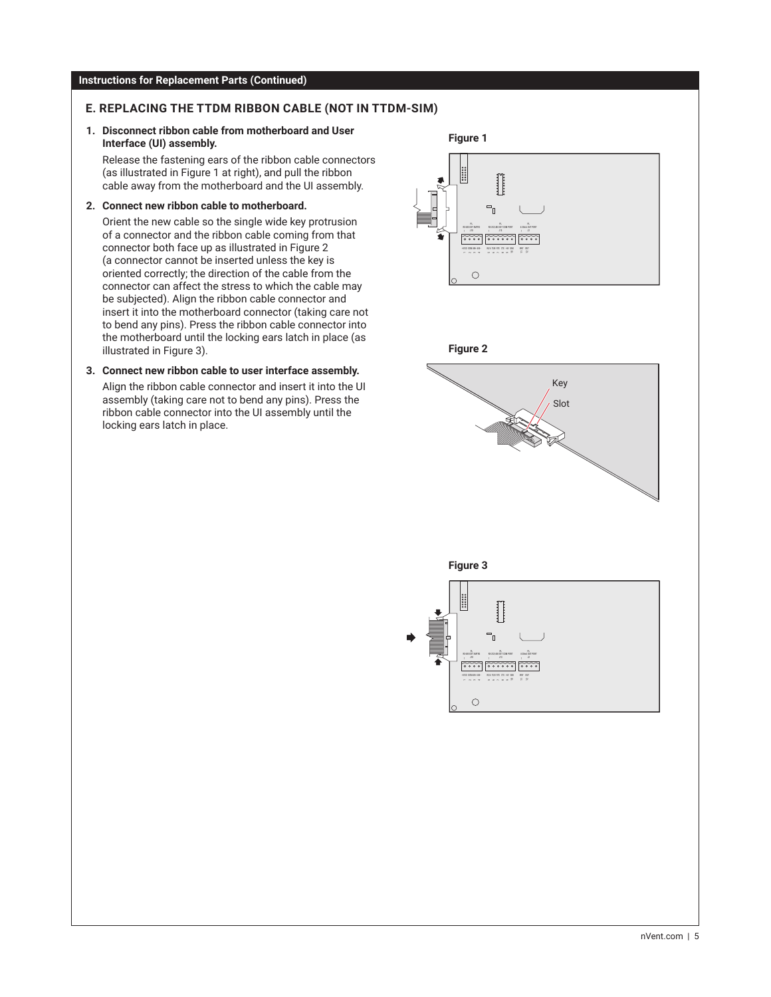# **E. REPLACING THE TTDM RIBBON CABLE (NOT IN TTDM-SIM)**

**1. Disconnect ribbon cable from motherboard and User Interface (UI) assembly.**

Release the fastening ears of the ribbon cable connectors (as illustrated in Figure 1 at right), and pull the ribbon cable away from the motherboard and the UI assembly.

**2. Connect new ribbon cable to motherboard.**

Orient the new cable so the single wide key protrusion of a connector and the ribbon cable coming from that connector both face up as illustrated in Figure 2 (a connector cannot be inserted unless the key is oriented correctly; the direction of the cable from the connector can affect the stress to which the cable may be subjected). Align the ribbon cable connector and insert it into the motherboard connector (taking care not to bend any pins). Press the ribbon cable connector into the motherboard until the locking ears latch in place (as illustrated in Figure 3).

#### **3. Connect new ribbon cable to user interface assembly.**

Align the ribbon cable connector and insert it into the UI assembly (taking care not to bend any pins). Press the ribbon cable connector into the UI assembly until the locking ears latch in place.

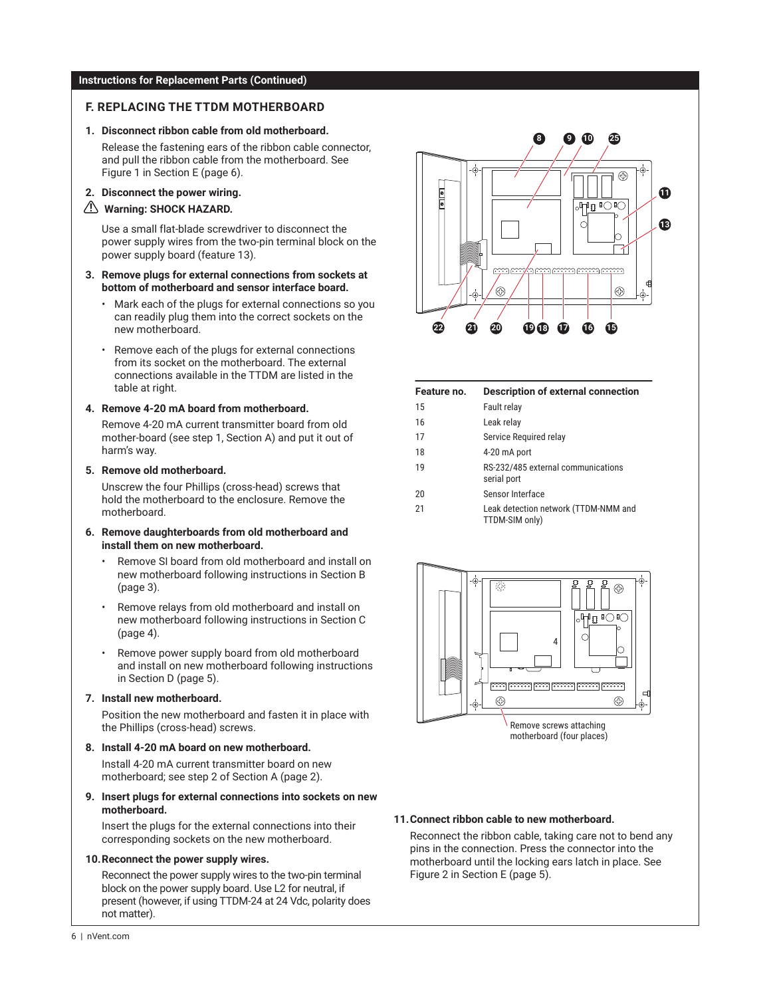# **F. REPLACING THE TTDM MOTHERBOARD**

**1. Disconnect ribbon cable from old motherboard.**

Release the fastening ears of the ribbon cable connector, and pull the ribbon cable from the motherboard. See Figure 1 in Section E (page 6).

**2. Disconnect the power wiring.**

#### **Warning: SHOCK HAZARD.**

Use a small flat-blade screwdriver to disconnect the power supply wires from the two-pin terminal block on the power supply board (feature 13).

#### **3. Remove plugs for external connections from sockets at bottom of motherboard and sensor interface board.**

- Mark each of the plugs for external connections so you can readily plug them into the correct sockets on the new motherboard.
- Remove each of the plugs for external connections from its socket on the motherboard. The external connections available in the TTDM are listed in the table at right.

#### **4. Remove 4-20 mA board from motherboard.**

Remove 4-20 mA current transmitter board from old mother-board (see step 1, Section A) and put it out of harm's way.

#### **5. Remove old motherboard.**

Unscrew the four Phillips (cross-head) screws that hold the motherboard to the enclosure. Remove the motherboard.

#### **6. Remove daughterboards from old motherboard and install them on new motherboard.**

- Remove SI board from old motherboard and install on new motherboard following instructions in Section B (page 3).
- Remove relays from old motherboard and install on new motherboard following instructions in Section C (page 4).
- Remove power supply board from old motherboard and install on new motherboard following instructions in Section D (page 5).

# **7. Install new motherboard.**

Position the new motherboard and fasten it in place with the Phillips (cross-head) screws.

#### **8. Install 4-20 mA board on new motherboard.**

Install 4-20 mA current transmitter board on new motherboard; see step 2 of Section A (page 2).

#### **9. Insert plugs for external connections into sockets on new motherboard.**

Insert the plugs for the external connections into their corresponding sockets on the new motherboard.

#### **10.Reconnect the power supply wires.**

Reconnect the power supply wires to the two-pin terminal block on the power supply board. Use L2 for neutral, if present (however, if using TTDM-24 at 24 Vdc, polarity does not matter).



| Feature no. | Description of external connection                     |
|-------------|--------------------------------------------------------|
| 15          | Fault relay                                            |
| 16          | Leak relay                                             |
| 17          | Service Required relay                                 |
| 18          | 4-20 mA port                                           |
| 19          | RS-232/485 external communications<br>serial port      |
| 20          | Sensor Interface                                       |
| 21          | Leak detection network (TTDM-NMM and<br>TTDM-SIM only) |



#### **11.Connect ribbon cable to new motherboard.**

Reconnect the ribbon cable, taking care not to bend any pins in the connection. Press the connector into the motherboard until the locking ears latch in place. See Figure 2 in Section E (page 5).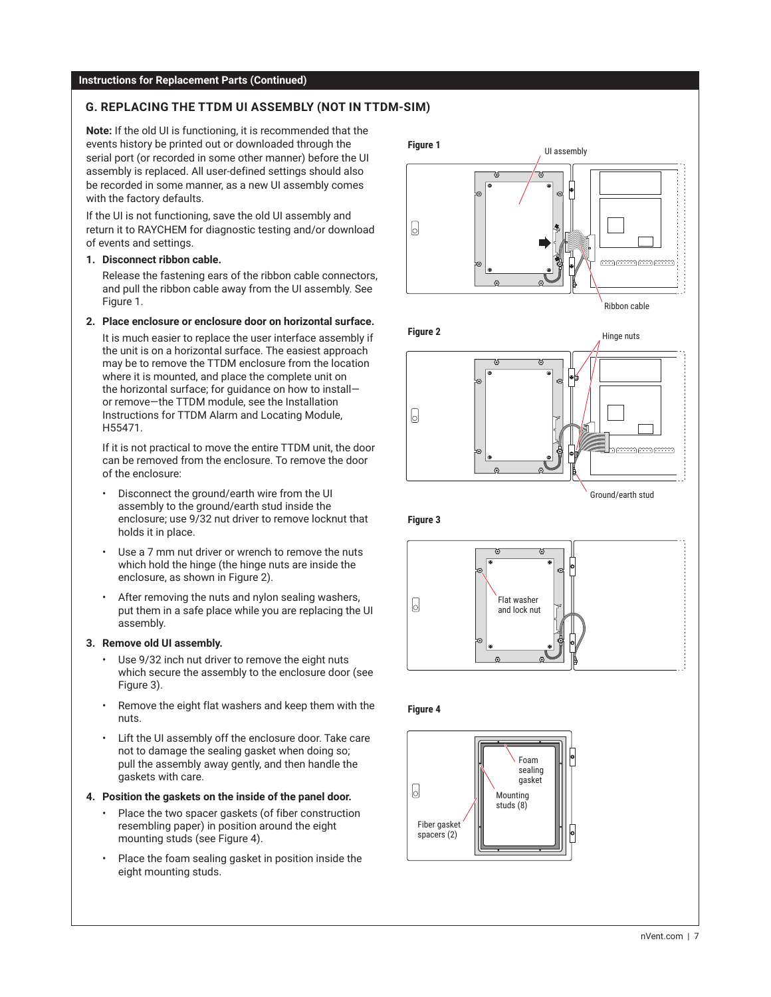# **G. REPLACING THE TTDM UI ASSEMBLY (NOT IN TTDM-SIM)**

**Note:** If the old UI is functioning, it is recommended that the events history be printed out or downloaded through the serial port (or recorded in some other manner) before the UI assembly is replaced. All user-defined settings should also be recorded in some manner, as a new UI assembly comes with the factory defaults.

If the UI is not functioning, save the old UI assembly and return it to RAYCHEM for diagnostic testing and/or download of events and settings.

#### **1. Disconnect ribbon cable.**

Release the fastening ears of the ribbon cable connectors, and pull the ribbon cable away from the UI assembly. See Figure 1.

#### **2. Place enclosure or enclosure door on horizontal surface.**

It is much easier to replace the user interface assembly if the unit is on a horizontal surface. The easiest approach may be to remove the TTDM enclosure from the location where it is mounted, and place the complete unit on the horizontal surface; for guidance on how to install or remove—the TTDM module, see the Installation Instructions for TTDM Alarm and Locating Module, H55471.

If it is not practical to move the entire TTDM unit, the door can be removed from the enclosure. To remove the door of the enclosure:

- Disconnect the ground/earth wire from the UI assembly to the ground/earth stud inside the enclosure; use 9/32 nut driver to remove locknut that holds it in place.
- Use a 7 mm nut driver or wrench to remove the nuts which hold the hinge (the hinge nuts are inside the enclosure, as shown in Figure 2).
- After removing the nuts and nylon sealing washers, put them in a safe place while you are replacing the UI assembly.

# **3. Remove old UI assembly.**

- Use 9/32 inch nut driver to remove the eight nuts which secure the assembly to the enclosure door (see Figure 3).
- Remove the eight flat washers and keep them with the nuts.
- Lift the UI assembly off the enclosure door. Take care not to damage the sealing gasket when doing so; pull the assembly away gently, and then handle the gaskets with care.

#### **4. Position the gaskets on the inside of the panel door.**

- Place the two spacer gaskets (of fiber construction resembling paper) in position around the eight mounting studs (see Figure 4).
- Place the foam sealing gasket in position inside the eight mounting studs.





**Figure 3**



#### **Figure 4**